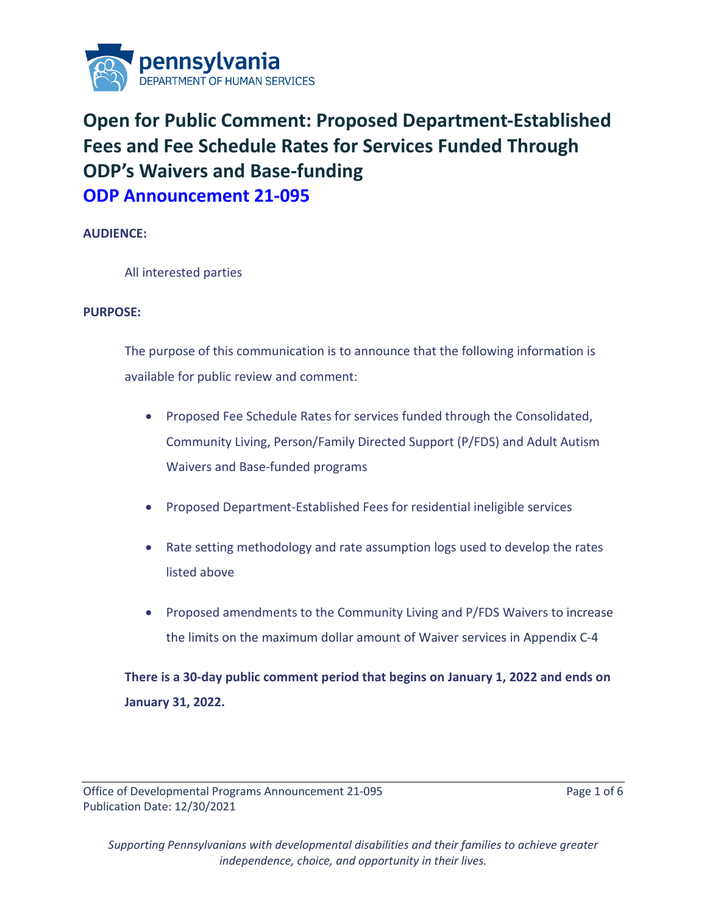

# **Open for Public Comment: Proposed Department-Established Fees and Fee Schedule Rates for Services Funded Through ODP's Waivers and Base-funding ODP Announcement 21-095**

**AUDIENCE:**

All interested parties

### **PURPOSE:**

The purpose of this communication is to announce that the following information is available for public review and comment:

- Proposed Fee Schedule Rates for services funded through the Consolidated, Community Living, Person/Family Directed Support (P/FDS) and Adult Autism Waivers and Base-funded programs
- Proposed Department-Established Fees for residential ineligible services
- Rate setting methodology and rate assumption logs used to develop the rates listed above
- Proposed amendments to the Community Living and P/FDS Waivers to increase the limits on the maximum dollar amount of Waiver services in Appendix C-4

**There is a 30-day public comment period that begins on January 1, 2022 and ends on January 31, 2022.**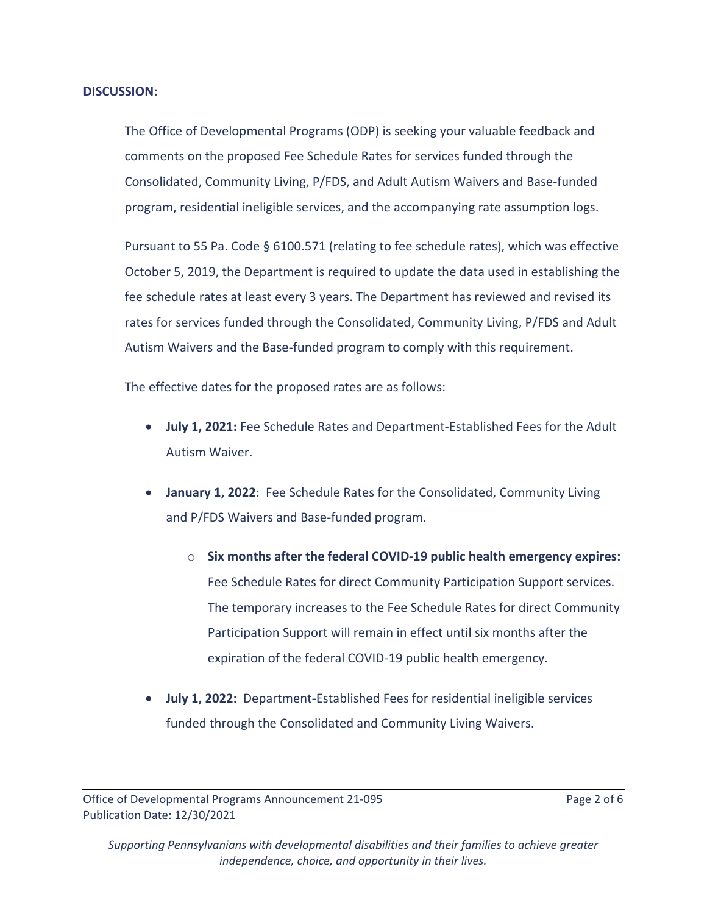#### **DISCUSSION:**

The Office of Developmental Programs (ODP) is seeking your valuable feedback and comments on the proposed Fee Schedule Rates for services funded through the Consolidated, Community Living, P/FDS, and Adult Autism Waivers and Base-funded program, residential ineligible services, and the accompanying rate assumption logs.

Pursuant to 55 Pa. Code § 6100.571 (relating to fee schedule rates), which was effective October 5, 2019, the Department is required to update the data used in establishing the fee schedule rates at least every 3 years. The Department has reviewed and revised its rates for services funded through the Consolidated, Community Living, P/FDS and Adult Autism Waivers and the Base-funded program to comply with this requirement.

The effective dates for the proposed rates are as follows:

- **July 1, 2021:** Fee Schedule Rates and Department-Established Fees for the Adult Autism Waiver.
- **January 1, 2022**: Fee Schedule Rates for the Consolidated, Community Living and P/FDS Waivers and Base-funded program.
	- o **Six months after the federal COVID-19 public health emergency expires:**  Fee Schedule Rates for direct Community Participation Support services. The temporary increases to the Fee Schedule Rates for direct Community Participation Support will remain in effect until six months after the expiration of the federal COVID-19 public health emergency.
- **July 1, 2022:** Department-Established Fees for residential ineligible services funded through the Consolidated and Community Living Waivers.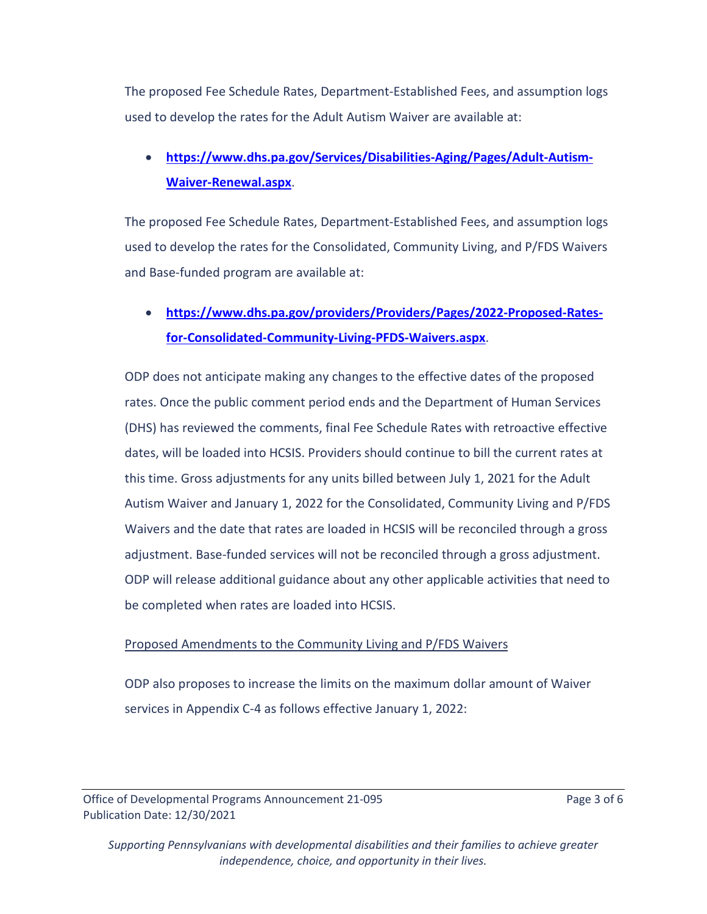The proposed Fee Schedule Rates, Department-Established Fees, and assumption logs used to develop the rates for the Adult Autism Waiver are available at:

# • **[https://www.dhs.pa.gov/Services/Disabilities-Aging/Pages/Adult-Autism-](https://www.dhs.pa.gov/Services/Disabilities-Aging/Pages/Adult-Autism-Waiver-Renewal.aspx)[Waiver-Renewal.aspx](https://www.dhs.pa.gov/Services/Disabilities-Aging/Pages/Adult-Autism-Waiver-Renewal.aspx)**.

The proposed Fee Schedule Rates, Department-Established Fees, and assumption logs used to develop the rates for the Consolidated, Community Living, and P/FDS Waivers and Base-funded program are available at:

# • **[https://www.dhs.pa.gov/providers/Providers/Pages/2022-Proposed-Rates](https://www.dhs.pa.gov/providers/Providers/Pages/2022-Proposed-Rates-for-Consolidated-Community-Living-PFDS-Waivers.aspx)[for-Consolidated-Community-Living-PFDS-Waivers.aspx](https://www.dhs.pa.gov/providers/Providers/Pages/2022-Proposed-Rates-for-Consolidated-Community-Living-PFDS-Waivers.aspx)**.

ODP does not anticipate making any changes to the effective dates of the proposed rates. Once the public comment period ends and the Department of Human Services (DHS) has reviewed the comments, final Fee Schedule Rates with retroactive effective dates, will be loaded into HCSIS. Providers should continue to bill the current rates at this time. Gross adjustments for any units billed between July 1, 2021 for the Adult Autism Waiver and January 1, 2022 for the Consolidated, Community Living and P/FDS Waivers and the date that rates are loaded in HCSIS will be reconciled through a gross adjustment. Base-funded services will not be reconciled through a gross adjustment. ODP will release additional guidance about any other applicable activities that need to be completed when rates are loaded into HCSIS.

# Proposed Amendments to the Community Living and P/FDS Waivers

ODP also proposes to increase the limits on the maximum dollar amount of Waiver services in Appendix C-4 as follows effective January 1, 2022:

Office of Developmental Programs Announcement 21-095 Page 3 of 6 Publication Date: 12/30/2021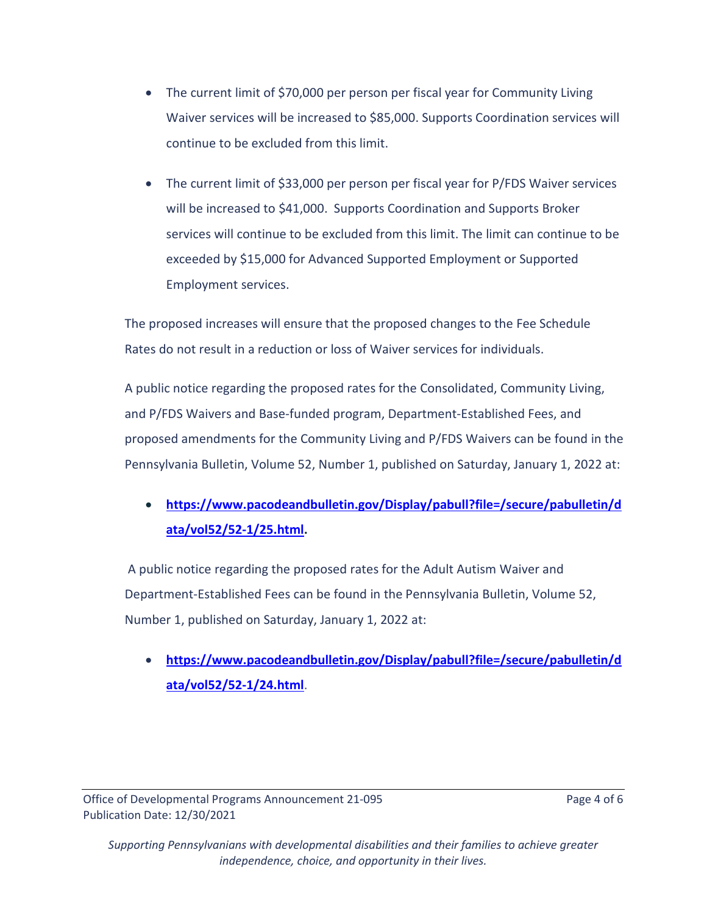- The current limit of \$70,000 per person per fiscal year for Community Living Waiver services will be increased to \$85,000. Supports Coordination services will continue to be excluded from this limit.
- The current limit of \$33,000 per person per fiscal year for P/FDS Waiver services will be increased to \$41,000. Supports Coordination and Supports Broker services will continue to be excluded from this limit. The limit can continue to be exceeded by \$15,000 for Advanced Supported Employment or Supported Employment services.

The proposed increases will ensure that the proposed changes to the Fee Schedule Rates do not result in a reduction or loss of Waiver services for individuals.

A public notice regarding the proposed rates for the Consolidated, Community Living, and P/FDS Waivers and Base-funded program, Department-Established Fees, and proposed amendments for the Community Living and P/FDS Waivers can be found in the Pennsylvania Bulletin, Volume 52, Number 1, published on Saturday, January 1, 2022 at:

# • **[https://www.pacodeandbulletin.gov/Display/pabull?file=/secure/pabulletin/d](https://www.pacodeandbulletin.gov/Display/pabull?file=/secure/pabulletin/data/vol52/52-1/25.html) [ata/vol52/52-1/25.html.](https://www.pacodeandbulletin.gov/Display/pabull?file=/secure/pabulletin/data/vol52/52-1/25.html)**

A public notice regarding the proposed rates for the Adult Autism Waiver and Department-Established Fees can be found in the Pennsylvania Bulletin, Volume 52, Number 1, published on Saturday, January 1, 2022 at:

• **[https://www.pacodeandbulletin.gov/Display/pabull?file=/secure/pabulletin/d](https://www.pacodeandbulletin.gov/Display/pabull?file=/secure/pabulletin/data/vol52/52-1/24.html) [ata/vol52/52-1/24.html](https://www.pacodeandbulletin.gov/Display/pabull?file=/secure/pabulletin/data/vol52/52-1/24.html)**.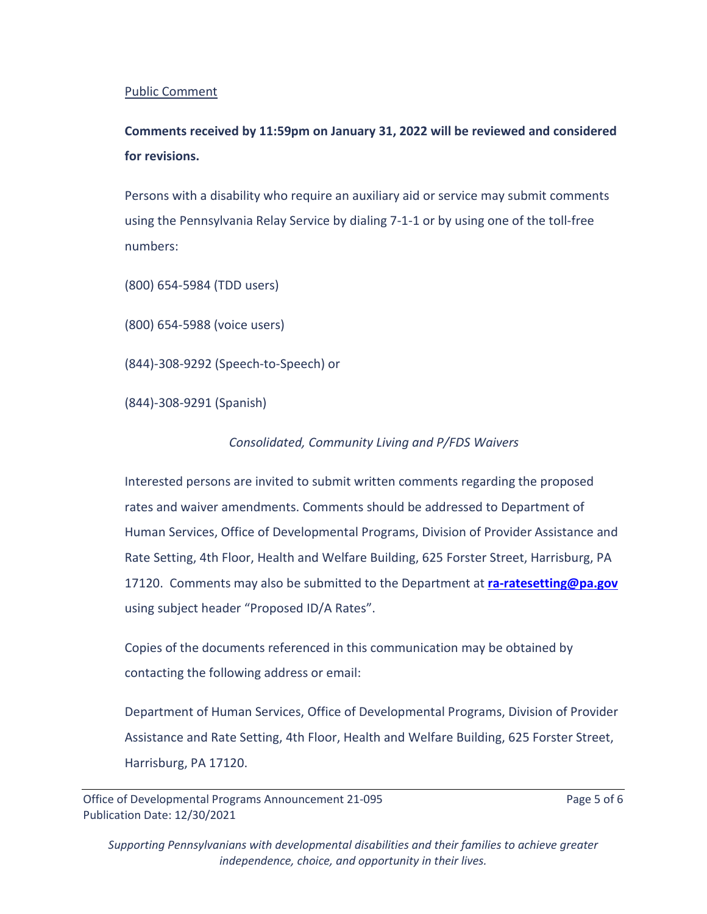#### Public Comment

# **Comments received by 11:59pm on January 31, 2022 will be reviewed and considered for revisions.**

Persons with a disability who require an auxiliary aid or service may submit comments using the Pennsylvania Relay Service by dialing 7-1-1 or by using one of the toll-free numbers:

- (800) 654-5984 (TDD users)
- (800) 654-5988 (voice users)
- (844)-308-9292 (Speech-to-Speech) or
- (844)-308-9291 (Spanish)

### *Consolidated, Community Living and P/FDS Waivers*

Interested persons are invited to submit written comments regarding the proposed rates and waiver amendments. Comments should be addressed to Department of Human Services, Office of Developmental Programs, Division of Provider Assistance and Rate Setting, 4th Floor, Health and Welfare Building, 625 Forster Street, Harrisburg, PA 17120. Comments may also be submitted to the Department at **[ra-ratesetting@pa.gov](mailto:ra-ratesetting@pa.gov)** using subject header "Proposed ID/A Rates".

Copies of the documents referenced in this communication may be obtained by contacting the following address or email:

Department of Human Services, Office of Developmental Programs, Division of Provider Assistance and Rate Setting, 4th Floor, Health and Welfare Building, 625 Forster Street, Harrisburg, PA 17120.

Office of Developmental Programs Announcement 21-095 Page 5 of 6 Publication Date: 12/30/2021